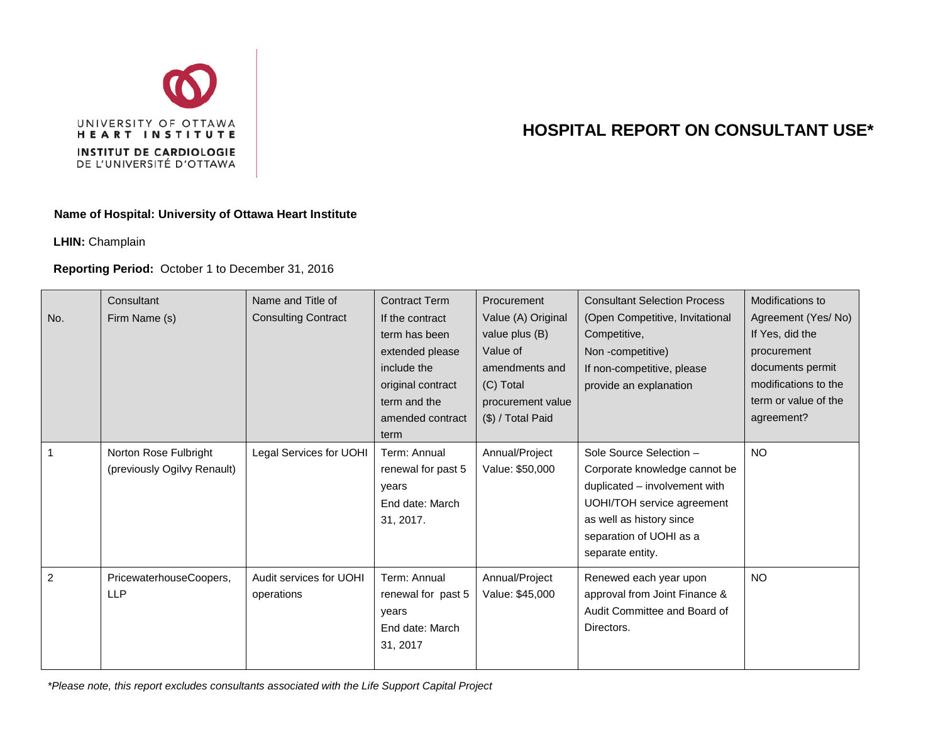

## **HOSPITAL REPORT ON CONSULTANT USE\***

## **Name of Hospital: University of Ottawa Heart Institute**

**LHIN:** Champlain

## **Reporting Period:** October 1 to December 31, 2016

| No.            | Consultant<br>Firm Name (s)                          | Name and Title of<br><b>Consulting Contract</b> | <b>Contract Term</b><br>If the contract<br>term has been<br>extended please<br>include the<br>original contract<br>term and the<br>amended contract<br>term | <b>Procurement</b><br>Value (A) Original<br>value plus (B)<br>Value of<br>amendments and<br>(C) Total<br>procurement value<br>(\$) / Total Paid | <b>Consultant Selection Process</b><br>(Open Competitive, Invitational<br>Competitive,<br>Non-competitive)<br>If non-competitive, please<br>provide an explanation                                 | Modifications to<br>Agreement (Yes/No)<br>If Yes, did the<br>procurement<br>documents permit<br>modifications to the<br>term or value of the<br>agreement? |
|----------------|------------------------------------------------------|-------------------------------------------------|-------------------------------------------------------------------------------------------------------------------------------------------------------------|-------------------------------------------------------------------------------------------------------------------------------------------------|----------------------------------------------------------------------------------------------------------------------------------------------------------------------------------------------------|------------------------------------------------------------------------------------------------------------------------------------------------------------|
| 1              | Norton Rose Fulbright<br>(previously Ogilvy Renault) | Legal Services for UOHI                         | Term: Annual<br>renewal for past 5<br>years<br>End date: March<br>31, 2017.                                                                                 | Annual/Project<br>Value: \$50,000                                                                                                               | Sole Source Selection -<br>Corporate knowledge cannot be<br>duplicated - involvement with<br>UOHI/TOH service agreement<br>as well as history since<br>separation of UOHI as a<br>separate entity. | <b>NO</b>                                                                                                                                                  |
| $\overline{2}$ | PricewaterhouseCoopers,<br><b>LLP</b>                | Audit services for UOHI<br>operations           | Term: Annual<br>renewal for past 5<br>years<br>End date: March<br>31, 2017                                                                                  | Annual/Project<br>Value: \$45,000                                                                                                               | Renewed each year upon<br>approval from Joint Finance &<br>Audit Committee and Board of<br>Directors.                                                                                              | <b>NO</b>                                                                                                                                                  |

*\*Please note, this report excludes consultants associated with the Life Support Capital Project*